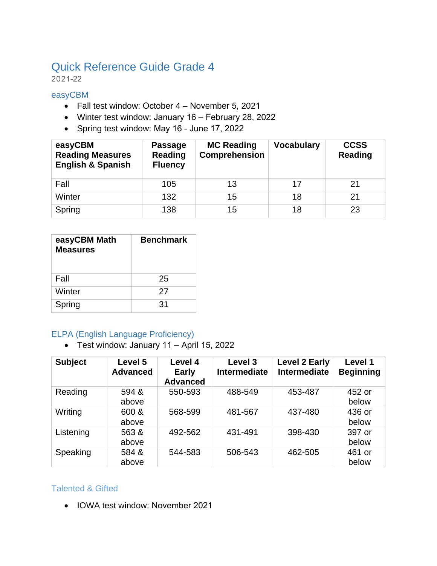# Quick Reference Guide Grade 4

2021-22

#### easyCBM

- Fall test window: October 4 November 5, 2021
- Winter test window: January 16 February 28, 2022
- Spring test window: May 16 June 17, 2022

| easyCBM<br><b>Reading Measures</b><br><b>English &amp; Spanish</b> | <b>Passage</b><br>Reading<br><b>Fluency</b> | <b>MC Reading</b><br><b>Comprehension</b> | <b>Vocabulary</b> | <b>CCSS</b><br><b>Reading</b> |
|--------------------------------------------------------------------|---------------------------------------------|-------------------------------------------|-------------------|-------------------------------|
| Fall                                                               | 105                                         | 13                                        | 17                | 21                            |
| Winter                                                             | 132                                         | 15                                        | 18                | 21                            |
| Spring                                                             | 138                                         | 15                                        | 18                | 23                            |

| easyCBM Math<br><b>Measures</b> | <b>Benchmark</b> |
|---------------------------------|------------------|
| Fall                            | 25               |
| Winter                          | 27               |
| Spring                          | $\mathbf{31}$    |

#### ELPA (English Language Proficiency)

• Test window: January 11 – April 15, 2022

| <b>Subject</b> | Level 5<br><b>Advanced</b> | Level 4<br><b>Early</b><br><b>Advanced</b> | Level 3<br>Intermediate | <b>Level 2 Early</b><br><b>Intermediate</b> | Level 1<br><b>Beginning</b> |
|----------------|----------------------------|--------------------------------------------|-------------------------|---------------------------------------------|-----------------------------|
| Reading        | 594 &<br>above             | 550-593                                    | 488-549                 | 453-487                                     | 452 or<br>below             |
| Writing        | 600 &<br>above             | 568-599                                    | 481-567                 | 437-480                                     | 436 or<br>below             |
| Listening      | 563 &<br>above             | 492-562                                    | 431-491                 | 398-430                                     | 397 or<br>below             |
| Speaking       | 584 &<br>above             | 544-583                                    | 506-543                 | 462-505                                     | 461 or<br>below             |

#### Talented & Gifted

• IOWA test window: November 2021